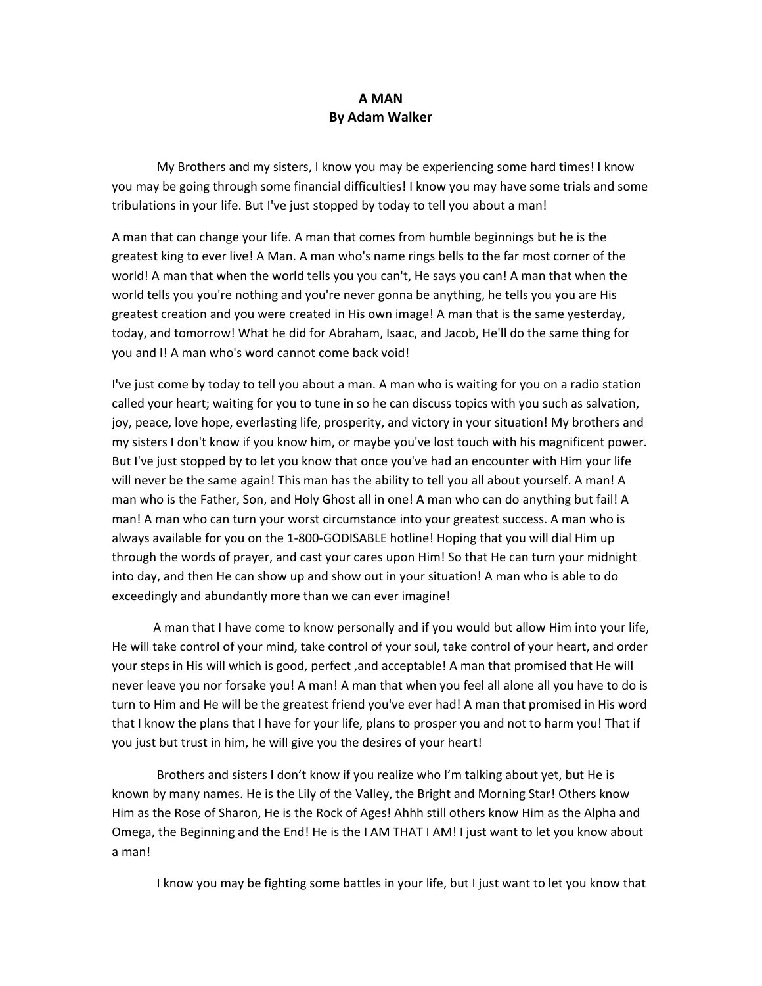## **A MAN By Adam Walker**

My Brothers and my sisters, I know you may be experiencing some hard times! I know you may be going through some financial difficulties! I know you may have some trials and some tribulations in your life. But I've just stopped by today to tell you about a man!

A man that can change your life. A man that comes from humble beginnings but he is the greatest king to ever live! A Man. A man who's name rings bells to the far most corner of the world! A man that when the world tells you you can't, He says you can! A man that when the world tells you you're nothing and you're never gonna be anything, he tells you you are His greatest creation and you were created in His own image! A man that is the same yesterday, today, and tomorrow! What he did for Abraham, Isaac, and Jacob, He'll do the same thing for you and I! A man who's word cannot come back void!

I've just come by today to tell you about a man. A man who is waiting for you on a radio station called your heart; waiting for you to tune in so he can discuss topics with you such as salvation, joy, peace, love hope, everlasting life, prosperity, and victory in your situation! My brothers and my sisters I don't know if you know him, or maybe you've lost touch with his magnificent power. But I've just stopped by to let you know that once you've had an encounter with Him your life will never be the same again! This man has the ability to tell you all about yourself. A man! A man who is the Father, Son, and Holy Ghost all in one! A man who can do anything but fail! A man! A man who can turn your worst circumstance into your greatest success. A man who is always available for you on the 1-800-GODISABLE hotline! Hoping that you will dial Him up through the words of prayer, and cast your cares upon Him! So that He can turn your midnight into day, and then He can show up and show out in your situation! A man who is able to do exceedingly and abundantly more than we can ever imagine!

A man that I have come to know personally and if you would but allow Him into your life, He will take control of your mind, take control of your soul, take control of your heart, and order your steps in His will which is good, perfect ,and acceptable! A man that promised that He will never leave you nor forsake you! A man! A man that when you feel all alone all you have to do is turn to Him and He will be the greatest friend you've ever had! A man that promised in His word that I know the plans that I have for your life, plans to prosper you and not to harm you! That if you just but trust in him, he will give you the desires of your heart!

Brothers and sisters I don't know if you realize who I'm talking about yet, but He is known by many names. He is the Lily of the Valley, the Bright and Morning Star! Others know Him as the Rose of Sharon, He is the Rock of Ages! Ahhh still others know Him as the Alpha and Omega, the Beginning and the End! He is the I AM THAT I AM! I just want to let you know about a man!

I know you may be fighting some battles in your life, but I just want to let you know that